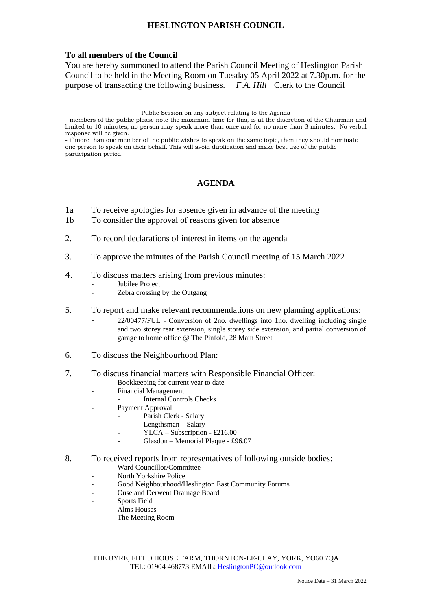## **HESLINGTON PARISH COUNCIL**

## **To all members of the Council**

You are hereby summoned to attend the Parish Council Meeting of Heslington Parish Council to be held in the Meeting Room on Tuesday 05 April 2022 at 7.30p.m. for the purpose of transacting the following business. *F.A. Hill* Clerk to the Council

Public Session on any subject relating to the Agenda

- members of the public please note the maximum time for this, is at the discretion of the Chairman and limited to 10 minutes; no person may speak more than once and for no more than 3 minutes. No verbal response will be given.

- if more than one member of the public wishes to speak on the same topic, then they should nominate one person to speak on their behalf. This will avoid duplication and make best use of the public participation period.

## **AGENDA**

- 1a To receive apologies for absence given in advance of the meeting
- 1b To consider the approval of reasons given for absence
- 2. To record declarations of interest in items on the agenda
- 3. To approve the minutes of the Parish Council meeting of 15 March 2022
- 4. To discuss matters arising from previous minutes:
	- Jubilee Project
	- Zebra crossing by the Outgang
- 5. To report and make relevant recommendations on new planning applications:
	- 22/00477/FUL Conversion of 2no. dwellings into 1no. dwelling including single and two storey rear extension, single storey side extension, and partial conversion of garage to home office @ The Pinfold, 28 Main Street
- 6. To discuss the Neighbourhood Plan:
- 7. To discuss financial matters with Responsible Financial Officer:
	- Bookkeeping for current year to date
	- Financial Management
		- Internal Controls Checks
	- Payment Approval
		- Parish Clerk Salary
		- Lengthsman Salary
		- YLCA Subscription £216.00
		- Glasdon Memorial Plaque £96.07
- 8. To received reports from representatives of following outside bodies:
	- Ward Councillor/Committee
	- North Yorkshire Police
	- Good Neighbourhood/Heslington East Community Forums
	- Ouse and Derwent Drainage Board
	- Sports Field
	- Alms Houses
	- The Meeting Room

THE BYRE, FIELD HOUSE FARM, THORNTON-LE-CLAY, YORK, YO60 7QA TEL: 01904 468773 EMAIL: [HeslingtonPC@outlook.com](mailto:HeslingtonPC@outlook.com)